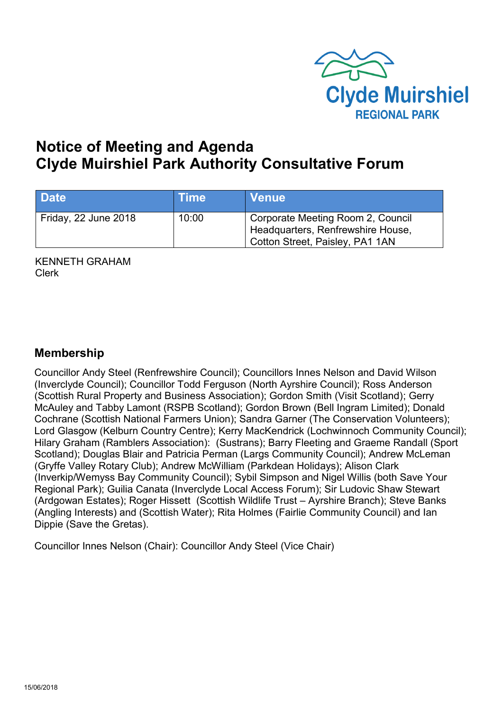

# **Notice of Meeting and Agenda Clyde Muirshiel Park Authority Consultative Forum**

| <b>Date</b>          | <b>Time</b> | <b>Venue</b>                                                                                              |
|----------------------|-------------|-----------------------------------------------------------------------------------------------------------|
| Friday, 22 June 2018 | 10:00       | Corporate Meeting Room 2, Council<br>Headquarters, Renfrewshire House,<br>Cotton Street, Paisley, PA1 1AN |

KENNETH GRAHAM Clerk

### **Membership**

Councillor Andy Steel (Renfrewshire Council); Councillors Innes Nelson and David Wilson (Inverclyde Council); Councillor Todd Ferguson (North Ayrshire Council); Ross Anderson (Scottish Rural Property and Business Association); Gordon Smith (Visit Scotland); Gerry McAuley and Tabby Lamont (RSPB Scotland); Gordon Brown (Bell Ingram Limited); Donald Cochrane (Scottish National Farmers Union); Sandra Garner (The Conservation Volunteers); Lord Glasgow (Kelburn Country Centre); Kerry MacKendrick (Lochwinnoch Community Council); Hilary Graham (Ramblers Association): (Sustrans); Barry Fleeting and Graeme Randall (Sport Scotland); Douglas Blair and Patricia Perman (Largs Community Council); Andrew McLeman (Gryffe Valley Rotary Club); Andrew McWilliam (Parkdean Holidays); Alison Clark (Inverkip/Wemyss Bay Community Council); Sybil Simpson and Nigel Willis (both Save Your Regional Park); Guilia Canata (Inverclyde Local Access Forum); Sir Ludovic Shaw Stewart (Ardgowan Estates); Roger Hissett (Scottish Wildlife Trust – Ayrshire Branch); Steve Banks (Angling Interests) and (Scottish Water); Rita Holmes (Fairlie Community Council) and Ian Dippie (Save the Gretas).

Councillor Innes Nelson (Chair): Councillor Andy Steel (Vice Chair)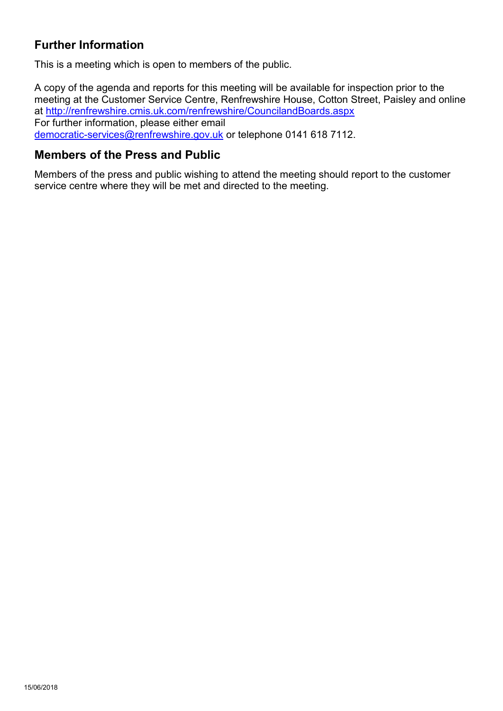# **Further Information**

This is a meeting which is open to members of the public.

A copy of the agenda and reports for this meeting will be available for inspection prior to the meeting at the Customer Service Centre, Renfrewshire House, Cotton Street, Paisley and online at <http://renfrewshire.cmis.uk.com/renfrewshire/CouncilandBoards.aspx> For further information, please either email [democratic-services@renfrewshire.gov.uk](mailto:democratic-services@renfrewshire.gov.uk) or telephone 0141 618 7112.

#### **Members of the Press and Public**

Members of the press and public wishing to attend the meeting should report to the customer service centre where they will be met and directed to the meeting.